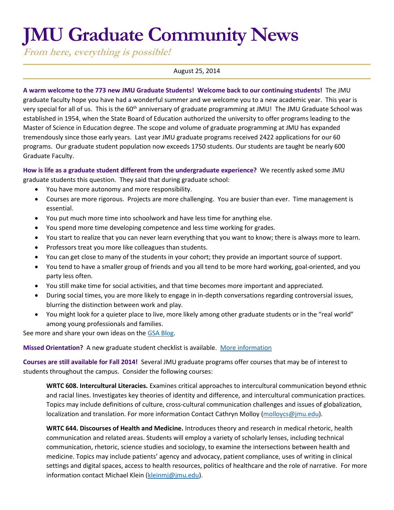# **JMU Graduate Community News**

**From here, everything is possible!**

### August 25, 2014

**A warm welcome to the 773 new JMU Graduate Students! Welcome back to our continuing students!** The JMU graduate faculty hope you have had a wonderful summer and we welcome you to a new academic year. This year is very special for all of us. This is the 60<sup>th</sup> anniversary of graduate programming at JMU! The JMU Graduate School was established in 1954, when the State Board of Education authorized the university to offer programs leading to the Master of Science in Education degree. The scope and volume of graduate programming at JMU has expanded tremendously since those early years. Last year JMU graduate programs received 2422 applications for our 60 programs. Our graduate student population now exceeds 1750 students. Our students are taught be nearly 600 Graduate Faculty.

**How is life as a graduate student different from the undergraduate experience?** We recently asked some JMU graduate students this question. They said that during graduate school:

- You have more autonomy and more responsibility.
- Courses are more rigorous. Projects are more challenging. You are busier than ever. Time management is essential.
- You put much more time into schoolwork and have less time for anything else.
- You spend more time developing competence and less time working for grades.
- You start to realize that you can never learn everything that you want to know; there is always more to learn.
- Professors treat you more like colleagues than students.
- You can get close to many of the students in your cohort; they provide an important source of support.
- You tend to have a smaller group of friends and you all tend to be more hard working, goal-oriented, and you party less often.
- You still make time for social activities, and that time becomes more important and appreciated.
- During social times, you are more likely to engage in in-depth conversations regarding controversial issues, blurring the distinction between work and play.
- You might look for a quieter place to live, more likely among other graduate students or in the "real world" among young professionals and families.

See more and share your own ideas on the [GSA Blog.](http://jmugsa.blogspot.com/2014/08/graduate-school-vs-undergraduate.html)

## **Missed Orientation?** A new graduate student checklist is available. [More information](http://www.jmu.edu/grad/current-students/New-Graduate-Student-Checklist.shtml)

**Courses are still available for Fall 2014!** Several JMU graduate programs offer courses that may be of interest to students throughout the campus. Consider the following courses:

**WRTC 608. Intercultural Literacies.** Examines critical approaches to intercultural communication beyond ethnic and racial lines. Investigates key theories of identity and difference, and intercultural communication practices. Topics may include definitions of culture, cross-cultural communication challenges and issues of globalization, localization and translation. For more information Contact Cathryn Molloy [\(molloycs@jmu.edu\)](mailto:molloycs@jmu.edu).

**WRTC 644. Discourses of Health and Medicine.** Introduces theory and research in medical rhetoric, health communication and related areas. Students will employ a variety of scholarly lenses, including technical communication, rhetoric, science studies and sociology, to examine the intersections between health and medicine. Topics may include patients' agency and advocacy, patient compliance, uses of writing in clinical settings and digital spaces, access to health resources, politics of healthcare and the role of narrative. For more information contact Michael Klein [\(kleinmj@jmu.edu\)](mailto:kleinmj@jmu.edu).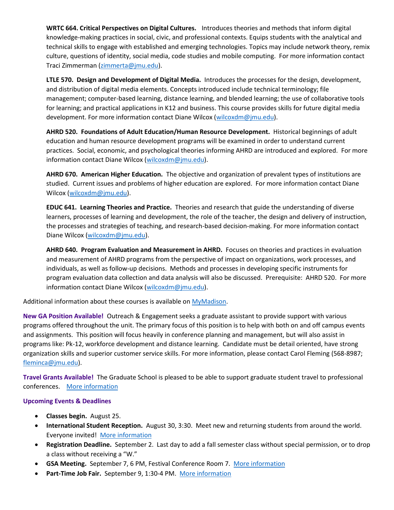**WRTC 664. Critical Perspectives on Digital Cultures.**  Introduces theories and methods that inform digital knowledge-making practices in social, civic, and professional contexts. Equips students with the analytical and technical skills to engage with established and emerging technologies. Topics may include network theory, remix culture, questions of identity, social media, code studies and mobile computing. For more information contact Traci Zimmerman [\(zimmerta@jmu.edu\)](mailto:zimmerta@jmu.edu).

**LTLE 570. Design and Development of Digital Media.** Introduces the processes for the design, development, and distribution of digital media elements. Concepts introduced include technical terminology; file management; computer-based learning, distance learning, and blended learning; the use of collaborative tools for learning; and practical applications in K12 and business. This course provides skills for future digital media development. For more information contact Diane Wilcox [\(wilcoxdm@jmu.edu\)](mailto:wilcoxdm@jmu.edu).

**AHRD 520. Foundations of Adult Education/Human Resource Development.** Historical beginnings of adult education and human resource development programs will be examined in order to understand current practices. Social, economic, and psychological theories informing AHRD are introduced and explored. For more information contact Diane Wilcox [\(wilcoxdm@jmu.edu\)](mailto:wilcoxdm@jmu.edu).

**AHRD 670. American Higher Education.** The objective and organization of prevalent types of institutions are studied. Current issues and problems of higher education are explored. For more information contact Diane Wilcox [\(wilcoxdm@jmu.edu\)](mailto:wilcoxdm@jmu.edu).

**EDUC 641. Learning Theories and Practice.** Theories and research that guide the understanding of diverse learners, processes of learning and development, the role of the teacher, the design and delivery of instruction, the processes and strategies of teaching, and research-based decision-making. For more information contact Diane Wilcox [\(wilcoxdm@jmu.edu\)](mailto:wilcoxdm@jmu.edu).

**AHRD 640. Program Evaluation and Measurement in AHRD.** Focuses on theories and practices in evaluation and measurement of AHRD programs from the perspective of impact on organizations, work processes, and individuals, as well as follow-up decisions. Methods and processes in developing specific instruments for program evaluation data collection and data analysis will also be discussed. Prerequisite: AHRD 520. For more information contact Diane Wilcox [\(wilcoxdm@jmu.edu\)](mailto:wilcoxdm@jmu.edu).

Additional information about these courses is available on [MyMadison.](http://mymadison.jmu.edu/)

**New GA Position Available!** Outreach & Engagement seeks a graduate assistant to provide support with various programs offered throughout the unit. The primary focus of this position is to help with both on and off campus events and assignments. This position will focus heavily in conference planning and management, but will also assist in programs like: Pk-12, workforce development and distance learning. Candidate must be detail oriented, have strong organization skills and superior customer service skills. For more information, please contact Carol Fleming (568-8987; [fleminca@jmu.edu\)](mailto:fleminca@jmu.edu).

**Travel Grants Available!** The Graduate School is pleased to be able to support graduate student travel to professional conferences. [More information](http://www.jmu.edu/grad/current-students/travel-grants.shtml)

# **Upcoming Events & Deadlines**

- **Classes begin.** August 25.
- **International Student Reception.** August 30, 3:30. Meet new and returning students from around the world. Everyone invited! [More information](http://www.jmu.edu/events/international/2014/08/30-reception.shtml)
- **Registration Deadline.** September 2. Last day to add a fall semester class without special permission, or to drop a class without receiving a "W."
- **GSA Meeting.** September 7, 6 PM, Festival Conference Room 7. [More information](http://jmugsa.blogspot.com/)
- Part-Time Job Fair. September 9, 1:30-4 PM. [More information](http://www.jmu.edu/stuemploy/)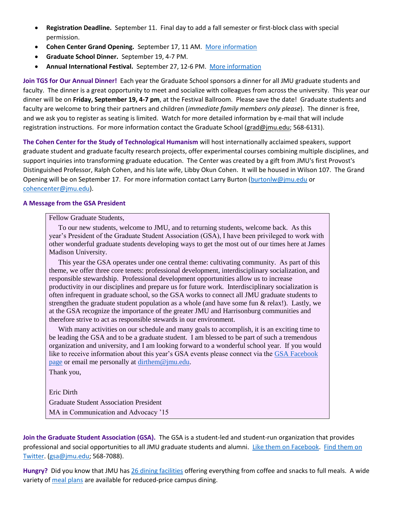- **Registration Deadline.** September 11. Final day to add a fall semester or first-block class with special permission.
- **Cohen Center Grand Opening.** September 17, 11 AM. [More information](http://www.jmu.edu/events/cohencenter/2014/09/17-grand-opening-cohen-center.shtml)
- **Graduate School Dinner.** September 19, 4-7 PM.
- **Annual International Festival.** September 27, 12-6 PM. [More information](http://www.jmu.edu/events/csl/2014/09/27-internationalfestival.shtml)

**Join TGS for Our Annual Dinner!** Each year the Graduate School sponsors a dinner for all JMU graduate students and faculty. The dinner is a great opportunity to meet and socialize with colleagues from across the university. This year our dinner will be on **Friday, September 19, 4-7 pm**, at the Festival Ballroom. Please save the date! Graduate students and faculty are welcome to bring their partners and children (*immediate family members only please*). The dinner is free, and we ask you to register as seating is limited. Watch for more detailed information by e-mail that will include registration instructions. For more information contact the Graduate School [\(grad@jmu.edu;](mailto:grad@jmu.edu) 568-6131).

**The Cohen Center for the Study of Technological Humanism** will host internationally acclaimed speakers, support graduate student and graduate faculty research projects, offer experimental courses combining multiple disciplines, and support inquiries into transforming graduate education. The Center was created by a gift from JMU's first Provost's Distinguished Professor, Ralph Cohen, and his late wife, Libby Okun Cohen. It will be housed in Wilson 107. The Grand Opening will be on September 17. For more information contact Larry Burton [\(burtonlw@jmu.edu](mailto:burtonlw@jmu.edu) or [cohencenter@jmu.edu\)](mailto:cohencenter@jmu.edu).

#### **A Message from the GSA President**

Fellow Graduate Students,

To our new students, welcome to JMU, and to returning students, welcome back. As this year's President of the Graduate Student Association (GSA), I have been privileged to work with other wonderful graduate students developing ways to get the most out of our times here at James Madison University.

This year the GSA operates under one central theme: cultivating community. As part of this theme, we offer three core tenets: professional development, interdisciplinary socialization, and responsible stewardship. Professional development opportunities allow us to increase productivity in our disciplines and prepare us for future work. Interdisciplinary socialization is often infrequent in graduate school, so the GSA works to connect all JMU graduate students to strengthen the graduate student population as a whole (and have some fun & relax!). Lastly, we at the GSA recognize the importance of the greater JMU and Harrisonburg communities and therefore strive to act as responsible stewards in our environment.

With many activities on our schedule and many goals to accomplish, it is an exciting time to be leading the GSA and to be a graduate student. I am blessed to be part of such a tremendous organization and university, and I am looking forward to a wonderful school year. If you would like to receive information about this year's GSA events please connect via the [GSA Facebook](https://www.facebook.com/#!/JMUGSA)  [page](https://www.facebook.com/#!/JMUGSA) or email me personally at [dirthem@jmu.edu.](mailto:dirthem@jmu.edu)

Thank you,

Eric Dirth

Graduate Student Association President

MA in Communication and Advocacy '15

**Join the Graduate Student Association (GSA).** The GSA is a student-led and student-run organization that provides professional and social opportunities to all JMU graduate students and alumni. [Like them on Facebook.](https://www.facebook.com/JMUGSA?fref=ts) [Find them on](https://twitter.com/JMUGSA)  [Twitter.](https://twitter.com/JMUGSA) [\(gsa@jmu.edu;](mailto:gsa@jmu.edu) 568-7088).

**Hungry?** Did you know that JMU has [26 dining facilities](http://www.campusdish.com/en-US/CSMA/JMU) offering everything from coffee and snacks to full meals. A wide variety of [meal plans](http://www.jmu.edu/cardctr/mealplan.shtml) are available for reduced-price campus dining.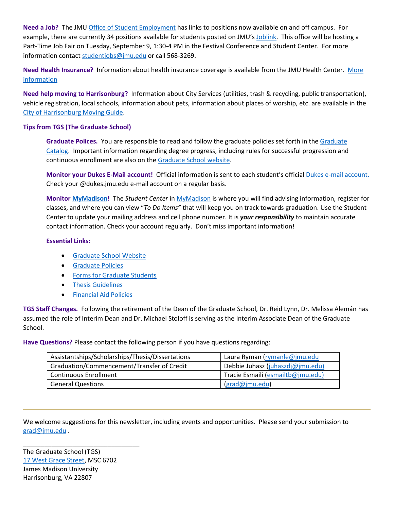**Need a Job?** The JM[U Office of Student Employment](http://www.jmu.edu/stuemploy/) has links to positions now available on and off campus. For example, there are currently 34 positions available for students posted on JMU's [Joblink.](http://joblink.jmu.edu/) This office will be hosting a Part-Time Job Fair on Tuesday, September 9, 1:30-4 PM in the Festival Conference and Student Center. For more information contac[t studentjobs@jmu.edu](mailto:studentjobs@jmu.edu) or call 568-3269.

**Need Health Insurance?** Information about health insurance coverage is available from the JMU Health Center. [More](http://www.jmu.edu/healthcenter/StudentCare/insurance.shtml)  [information](http://www.jmu.edu/healthcenter/StudentCare/insurance.shtml)

**Need help moving to Harrisonburg?** Information about City Services (utilities, trash & recycling, public transportation), vehicle registration, local schools, information about pets, information about places of worship, etc. are available in the [City of Harrisonburg Moving Guide.](http://www.harrisonburgva.gov/moving-guide)

## **Tips from TGS (The Graduate School)**

**Graduate Polices.** You are responsible to read and follow the graduate policies set forth in th[e Graduate](http://jmu.edu/catalog)  [Catalog.](http://jmu.edu/catalog) Important information regarding degree progress, including rules for successful progression and continuous enrollment are also on th[e Graduate School website.](http://www.jmu.edu/grad/current-students/degree-progress/beginning.shtml)

**Monitor your Dukes E-Mail account!** Official information is sent to each student's officia[l Dukes e-mail account.](http://www.jmu.edu/computing/helpdesk/selfhelp/DukesEmail.shtml) Check your @dukes.jmu.edu e-mail account on a regular basis.

**Monitor [MyMadison!](http://mymadison.jmu.edu/)** The *Student Center* i[n MyMadison](http://mymadison.jmu.edu/) is where you will find advising information, register for classes, and where you can view "*To Do Items"* that will keep you on track towards graduation. Use the Student Center to update your mailing address and cell phone number. It is *your responsibility* to maintain accurate contact information. Check your account regularly. Don't miss important information!

## **Essential Links:**

- [Graduate School Website](http://www.jmu.edu/grad)
- **•** [Graduate Policies](http://www.jmu.edu/catalog/index.shtml)
- **•** [Forms for Graduate Students](http://www.jmu.edu/grad/current-students/graduate-forms.shtml)
- **•** [Thesis Guidelines](http://www.jmu.edu/grad/current-students/thesis-dissertation/information.shtml)
- **•** [Financial Aid Policies](http://www.jmu.edu/finaid/sap.shtml)

**TGS Staff Changes.** Following the retirement of the Dean of the Graduate School, Dr. Reid Lynn, Dr. Melissa Alemán has assumed the role of Interim Dean and Dr. Michael Stoloff is serving as the Interim Associate Dean of the Graduate School.

**Have Questions?** Please contact the following person if you have questions regarding:

| Assistantships/Scholarships/Thesis/Dissertations | Laura Ryman (rymanle@jmu.edu      |
|--------------------------------------------------|-----------------------------------|
| Graduation/Commencement/Transfer of Credit       | Debbie Juhasz (juhaszdj@jmu.edu)  |
| <b>Continuous Enrollment</b>                     | Tracie Esmaili (esmailtb@jmu.edu) |
| <b>General Questions</b>                         | (grad@jmu.edu)                    |

We welcome suggestions for this newsletter, including events and opportunities. Please send your submission to [grad@jmu.edu](mailto:grad@jmu.edu) .

The Graduate School (TGS) [17 West Grace Street,](http://www.jmu.edu/directory/buildings/GSH.shtml) MSC 6702 James Madison University Harrisonburg, VA 22807

\_\_\_\_\_\_\_\_\_\_\_\_\_\_\_\_\_\_\_\_\_\_\_\_\_\_\_\_\_\_\_\_\_